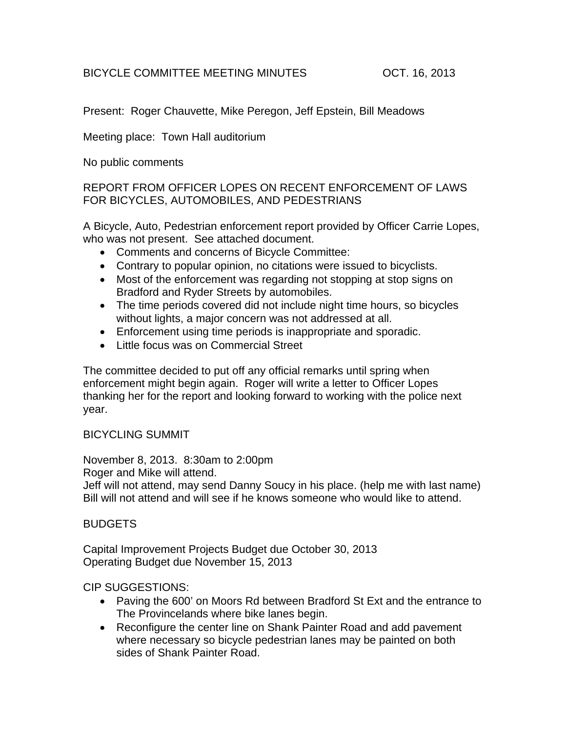## BICYCLE COMMITTEE MEETING MINUTES **OCT. 16, 2013**

Present: Roger Chauvette, Mike Peregon, Jeff Epstein, Bill Meadows

Meeting place: Town Hall auditorium

No public comments

## REPORT FROM OFFICER LOPES ON RECENT ENFORCEMENT OF LAWS FOR BICYCLES, AUTOMOBILES, AND PEDESTRIANS

A Bicycle, Auto, Pedestrian enforcement report provided by Officer Carrie Lopes, who was not present. See attached document.

- Comments and concerns of Bicycle Committee:
- Contrary to popular opinion, no citations were issued to bicyclists.
- Most of the enforcement was regarding not stopping at stop signs on Bradford and Ryder Streets by automobiles.
- The time periods covered did not include night time hours, so bicycles without lights, a major concern was not addressed at all.
- Enforcement using time periods is inappropriate and sporadic.
- Little focus was on Commercial Street

The committee decided to put off any official remarks until spring when enforcement might begin again. Roger will write a letter to Officer Lopes thanking her for the report and looking forward to working with the police next year.

### BICYCLING SUMMIT

November 8, 2013. 8:30am to 2:00pm Roger and Mike will attend. Jeff will not attend, may send Danny Soucy in his place. (help me with last name) Bill will not attend and will see if he knows someone who would like to attend.

# BUDGETS

Capital Improvement Projects Budget due October 30, 2013 Operating Budget due November 15, 2013

### CIP SUGGESTIONS:

- Paving the 600' on Moors Rd between Bradford St Ext and the entrance to The Provincelands where bike lanes begin.
- Reconfigure the center line on Shank Painter Road and add pavement where necessary so bicycle pedestrian lanes may be painted on both sides of Shank Painter Road.